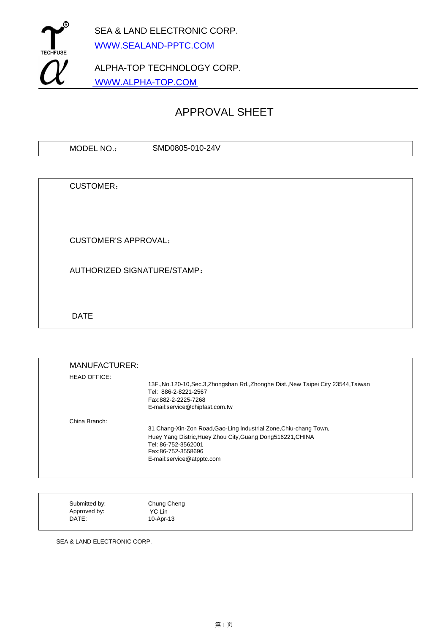

# APPROVAL SHEET

| SMD0805-010-<br>$-24V$<br><b>MOD</b><br>วE∟<br>NO. |  |
|----------------------------------------------------|--|
|----------------------------------------------------|--|

CUSTOMER:

CUSTOMER'S APPROVAL:

AUTHORIZED SIGNATURE/STAMP:

DATE

| <b>MANUFACTURER:</b> |                                                                                     |
|----------------------|-------------------------------------------------------------------------------------|
| <b>HEAD OFFICE:</b>  |                                                                                     |
|                      | 13F., No.120-10, Sec.3, Zhongshan Rd., Zhonghe Dist., New Taipei City 23544, Taiwan |
|                      | Tel: 886-2-8221-2567                                                                |
|                      | Fax:882-2-2225-7268                                                                 |
|                      | E-mail:service@chipfast.com.tw                                                      |
| China Branch:        |                                                                                     |
|                      | 31 Chang-Xin-Zon Road, Gao-Ling Industrial Zone, Chiu-chang Town,                   |
|                      | Huey Yang Distric, Huey Zhou City, Guang Dong516221, CHINA                          |
|                      | Tel: 86-752-3562001                                                                 |
|                      | Fax:86-752-3558696                                                                  |
|                      | E-mail:service@atpptc.com                                                           |
|                      |                                                                                     |
|                      |                                                                                     |

| Submitted by: | Chung Cheng |  |
|---------------|-------------|--|
| Approved by:  | YC Lin      |  |
| DATE:         | 10-Apr-13   |  |

SEA & LAND ELECTRONIC CORP.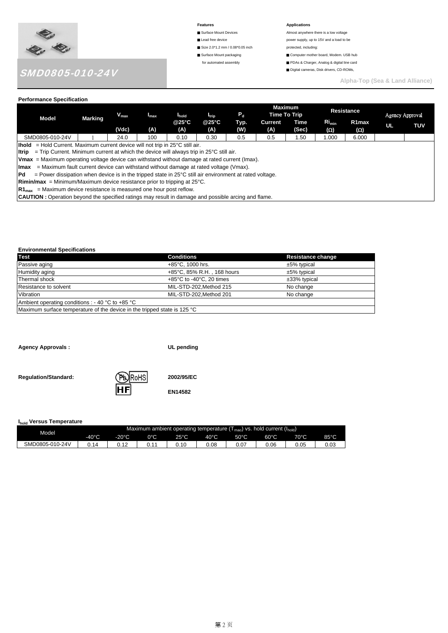

- 
- Lead free device **power supply**, up to 15V and a load to be
- Size 2.0\*1.2 mm / 0.08\*0.05 inch protected, including:
- 
- 

#### Features **Applications**

- Surface Mount Devices **Almost anywhere there is a low voltage** 
	-
- Surface Mount packaging Computer mother board, Modem. USB hub
- for automated assembly <br>■ PDAs & Charger, Analog & digital line card
	- Digital cameras, Disk drivers, CD-ROMs,

**Alpha-Top (Sea & Land Alliance)** 

## **Performance Specification**

| r chomiance opecnication                                                                                                  |                                                               |           |                  |       |                          |         |         |                                |                   |                    |    |                 |
|---------------------------------------------------------------------------------------------------------------------------|---------------------------------------------------------------|-----------|------------------|-------|--------------------------|---------|---------|--------------------------------|-------------------|--------------------|----|-----------------|
| Model                                                                                                                     | Marking                                                       | $V_{max}$ | I <sub>max</sub> | hold  | <b>I</b> <sub>trip</sub> | $P_{d}$ |         | <b>Maximum</b><br>Time To Trip |                   | <b>Resistance</b>  |    | Agency Approval |
|                                                                                                                           |                                                               |           |                  | @25°C | @25°C                    | Typ.    | Current | Time                           | Ri <sub>min</sub> | R <sub>1</sub> max |    |                 |
|                                                                                                                           |                                                               | (Vdc)     | (A)              | (A)   | (A)                      | (W)     | (A)     | (Sec)                          | $(\Omega)$        | (Ω)                | UL | TUV             |
| SMD0805-010-24V                                                                                                           |                                                               | 24.0      | 100              | 0.10  | 0.30                     | 0.5     | 0.5     | 1.50                           | 1.000             | 6.000              |    |                 |
| <b>Ihold</b> = Hold Current. Maximum current device will not trip in $25^{\circ}$ C still air.                            |                                                               |           |                  |       |                          |         |         |                                |                   |                    |    |                 |
| <b>Itrip</b> = Trip Current. Minimum current at which the device will always trip in $25^{\circ}$ C still air.            |                                                               |           |                  |       |                          |         |         |                                |                   |                    |    |                 |
| <b>Vmax</b> = Maximum operating voltage device can withstand without damage at rated current (Imax).                      |                                                               |           |                  |       |                          |         |         |                                |                   |                    |    |                 |
| $=$ Maximum fault current device can withstand without damage at rated voltage (Vmax).<br><b>Imax</b>                     |                                                               |           |                  |       |                          |         |         |                                |                   |                    |    |                 |
| lPd.<br>= Power dissipation when device is in the tripped state in $25^{\circ}$ C still air environment at rated voltage. |                                                               |           |                  |       |                          |         |         |                                |                   |                    |    |                 |
| <b>Rimin/max</b> = Minimum/Maximum device resistance prior to tripping at $25^{\circ}$ C.                                 |                                                               |           |                  |       |                          |         |         |                                |                   |                    |    |                 |
| $R1_{\text{max}}$                                                                                                         | = Maximum device resistance is measured one hour post reflow. |           |                  |       |                          |         |         |                                |                   |                    |    |                 |
| <b>CAUTION</b> : Operation beyond the specified ratings may result in damage and possible arcing and flame.               |                                                               |           |                  |       |                          |         |         |                                |                   |                    |    |                 |

#### **Environmental Specifications**

| <b>Test</b>                                                              | <b>Conditions</b>                            | <b>Resistance change</b> |
|--------------------------------------------------------------------------|----------------------------------------------|--------------------------|
| Passive aging                                                            | $+85^{\circ}$ C. 1000 hrs.                   | $±5\%$ typical           |
| Humidity aging                                                           | +85°C, 85% R.H., 168 hours                   | $±5\%$ typical           |
| Thermal shock                                                            | +85 $\degree$ C to -40 $\degree$ C, 20 times | ±33% typical             |
| Resistance to solvent                                                    | MIL-STD-202.Method 215                       | No change                |
| Vibration                                                                | MIL-STD-202.Method 201                       | No change                |
| Ambient operating conditions : - 40 $^{\circ}$ C to +85 $^{\circ}$ C     |                                              |                          |
| Maximum surface temperature of the device in the tripped state is 125 °C |                                              |                          |

**Agency Approvals : UL pending**

**Regulation/Standard: 2002/95/EC**

**Ihold Versus Temperature**

| i <sub>hold</sub> versus remperature |                 |                 |                                                                                               |      |                |                |                |      |      |
|--------------------------------------|-----------------|-----------------|-----------------------------------------------------------------------------------------------|------|----------------|----------------|----------------|------|------|
| Model                                |                 |                 | Maximum ambient operating temperature $(T_{\text{mao}})$ vs. hold current $(I_{\text{hold}})$ |      |                |                |                |      |      |
|                                      | $-40^{\circ}$ C | $-20^{\circ}$ C | 0°C                                                                                           | 25°C | $40^{\circ}$ C | $50^{\circ}$ C | $60^{\circ}$ C | 70°C | 85°C |
| SMD0805-010-24V                      | 14              | 0.12            |                                                                                               | -10  | 0.08           | ა.07           | 0.06           | 0.05 | 0.03 |

**EN14582**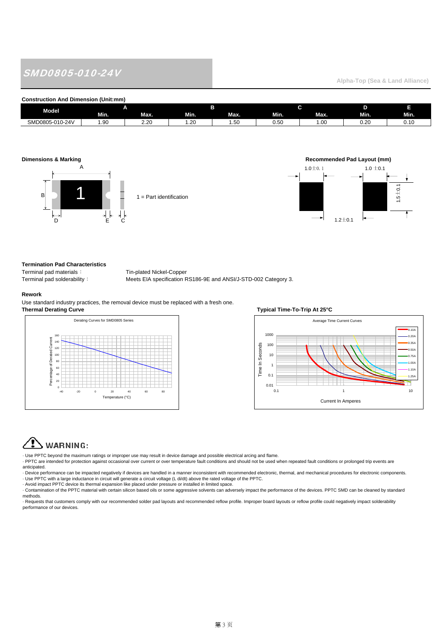# SMD0805-010-24V

## **Alpha-Top (Sea & Land Alliance)**

#### **Construction And Dimension (Unit:mm)**

| <b>Model</b>    |       | ∼                   |            |          |      |      |                |      |
|-----------------|-------|---------------------|------------|----------|------|------|----------------|------|
|                 | Min.  | Max.                | Min.       | Max.     | Min. | Max. | Min.           | Min. |
| SMD0805-010-24V | . .90 | $\sim$<br><u>__</u> | ~<br>. .∠∪ | -<br>ں ب | 0.50 | .vu  | $\sim$<br>∪.∠u |      |







#### **Termination Pad Characteristics**

Terminal pad materials: Tin-plated Nickel-Copper

Terminal pad solderability: Meets EIA specification RS186-9E and ANSI/J-STD-002 Category 3.

#### **Rework**

Use standard industry practices, the removal device must be replaced with a fresh one. **Thermal Derating Curve Thermal Deration Curve Typical Time-To-Trip At 25°C** 





# WARNING:

· Use PPTC beyond the maximum ratings or improper use may result in device damage and possible electrical arcing and flame.

· PPTC are intended for protection against occasional over current or over temperature fault conditions and should not be used when repeated fault conditions or prolonged trip events are anticipated.

· Device performance can be impacted negatively if devices are handled in a manner inconsistent with recommended electronic, thermal, and mechanical procedures for electronic components. - Use PPTC with a large inductance in circuit will generate a circuit voltage (L di/dt) above the rated voltage of the PPTC.<br>- Avoid impact PPTC device its thermal expansion like placed under pressure or installed in limit

· Contamination of the PPTC material with certain silicon based oils or some aggressive solvents can adversely impact the performance of the devices. PPTC SMD can be cleaned by standard methods.

· Requests that customers comply with our recommended solder pad layouts and recommended reflow profile. Improper board layouts or reflow profile could negatively impact solderability performance of our devices.